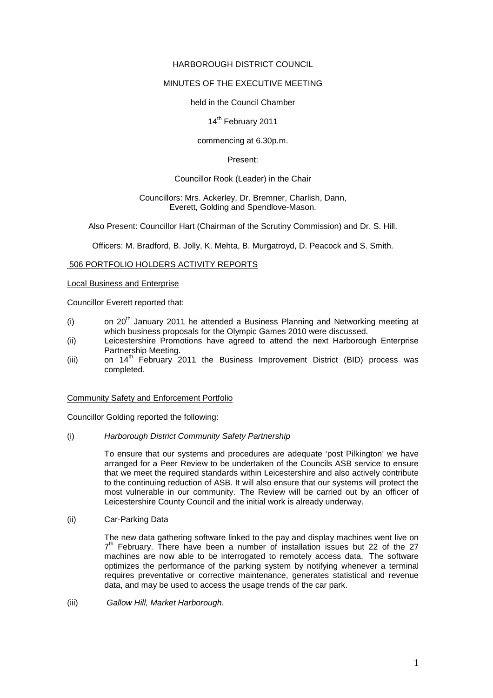## HARBOROUGH DISTRICT COUNCIL

# MINUTES OF THE EXECUTIVE MEETING

### held in the Council Chamber

## 14<sup>th</sup> February 2011

## commencing at 6.30p.m.

### Present:

# Councillor Rook (Leader) in the Chair

#### Councillors: Mrs. Ackerley, Dr. Bremner, Charlish, Dann, Everett, Golding and Spendlove-Mason.

Also Present: Councillor Hart (Chairman of the Scrutiny Commission) and Dr. S. Hill.

Officers: M. Bradford, B. Jolly, K. Mehta, B. Murgatroyd, D. Peacock and S. Smith.

## 506 PORTFOLIO HOLDERS ACTIVITY REPORTS

### Local Business and Enterprise

Councillor Everett reported that:

- (i) on 20<sup>th</sup> January 2011 he attended a Business Planning and Networking meeting at which business proposals for the Olympic Games 2010 were discussed.
- (ii) Leicestershire Promotions have agreed to attend the next Harborough Enterprise Partnership Meeting.
- (iii) on  $14<sup>th</sup>$  February 2011 the Business Improvement District (BID) process was completed.

### Community Safety and Enforcement Portfolio

Councillor Golding reported the following:

(i) Harborough District Community Safety Partnership

To ensure that our systems and procedures are adequate 'post Pilkington' we have arranged for a Peer Review to be undertaken of the Councils ASB service to ensure that we meet the required standards within Leicestershire and also actively contribute to the continuing reduction of ASB. It will also ensure that our systems will protect the most vulnerable in our community. The Review will be carried out by an officer of Leicestershire County Council and the initial work is already underway.

### (ii) Car-Parking Data

The new data gathering software linked to the pay and display machines went live on 7<sup>th</sup> February. There have been a number of installation issues but 22 of the 27 machines are now able to be interrogated to remotely access data. The software optimizes the performance of the parking system by notifying whenever a terminal requires preventative or corrective maintenance, generates statistical and revenue data, and may be used to access the usage trends of the car park.

(iii) Gallow Hill, Market Harborough.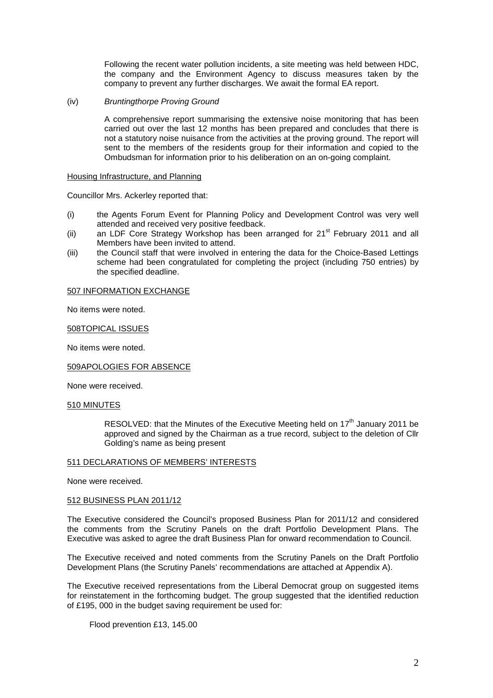Following the recent water pollution incidents, a site meeting was held between HDC, the company and the Environment Agency to discuss measures taken by the company to prevent any further discharges. We await the formal EA report.

### (iv) Bruntingthorpe Proving Ground

A comprehensive report summarising the extensive noise monitoring that has been carried out over the last 12 months has been prepared and concludes that there is not a statutory noise nuisance from the activities at the proving ground. The report will sent to the members of the residents group for their information and copied to the Ombudsman for information prior to his deliberation on an on-going complaint.

#### Housing Infrastructure, and Planning

Councillor Mrs. Ackerley reported that:

- (i) the Agents Forum Event for Planning Policy and Development Control was very well attended and received very positive feedback.
- (ii) an LDF Core Strategy Workshop has been arranged for  $21<sup>st</sup>$  February 2011 and all Members have been invited to attend.
- (iii) the Council staff that were involved in entering the data for the Choice-Based Lettings scheme had been congratulated for completing the project (including 750 entries) by the specified deadline.

#### 507 INFORMATION EXCHANGE

No items were noted.

#### 508TOPICAL ISSUES

No items were noted.

# 509APOLOGIES FOR ABSENCE

None were received.

#### 510 MINUTES

RESOLVED: that the Minutes of the Executive Meeting held on  $17<sup>th</sup>$  January 2011 be approved and signed by the Chairman as a true record, subject to the deletion of Cllr Golding's name as being present

#### 511 DECLARATIONS OF MEMBERS' INTERESTS

None were received.

#### 512 BUSINESS PLAN 2011/12

The Executive considered the Council's proposed Business Plan for 2011/12 and considered the comments from the Scrutiny Panels on the draft Portfolio Development Plans. The Executive was asked to agree the draft Business Plan for onward recommendation to Council.

The Executive received and noted comments from the Scrutiny Panels on the Draft Portfolio Development Plans (the Scrutiny Panels' recommendations are attached at Appendix A).

The Executive received representations from the Liberal Democrat group on suggested items for reinstatement in the forthcoming budget. The group suggested that the identified reduction of £195, 000 in the budget saving requirement be used for:

Flood prevention £13, 145.00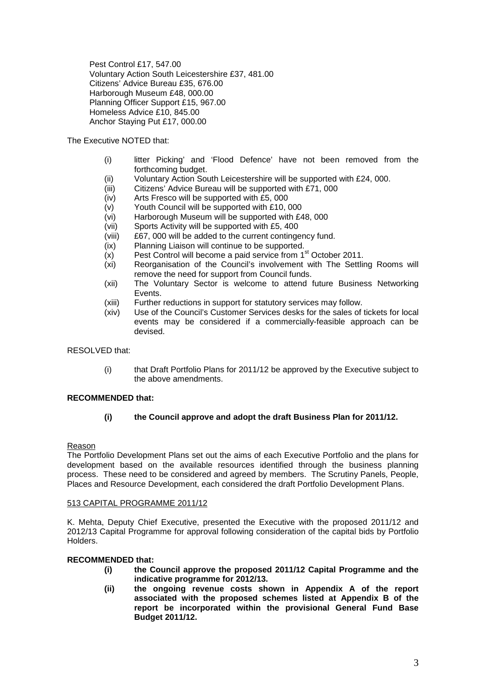Pest Control £17, 547.00 Voluntary Action South Leicestershire £37, 481.00 Citizens' Advice Bureau £35, 676.00 Harborough Museum £48, 000.00 Planning Officer Support £15, 967.00 Homeless Advice £10, 845.00 Anchor Staying Put £17, 000.00

# The Executive NOTED that:

- (i) litter Picking' and 'Flood Defence' have not been removed from the forthcoming budget.
- (ii) Voluntary Action South Leicestershire will be supported with £24, 000.
- (iii) Citizens' Advice Bureau will be supported with £71, 000
- (iv) Arts Fresco will be supported with £5, 000
- (v) Youth Council will be supported with £10, 000
- (vi) Harborough Museum will be supported with £48, 000
- (vii) Sports Activity will be supported with £5, 400
- (viii) £67, 000 will be added to the current contingency fund.
- (ix) Planning Liaison will continue to be supported.
- $(x)$  Pest Control will become a paid service from 1<sup>st</sup> October 2011.
- (xi) Reorganisation of the Council's involvement with The Settling Rooms will remove the need for support from Council funds.
- (xii) The Voluntary Sector is welcome to attend future Business Networking Events.
- (xiii) Further reductions in support for statutory services may follow.
- (xiv) Use of the Council's Customer Services desks for the sales of tickets for local events may be considered if a commercially-feasible approach can be devised.

RESOLVED that:

(i) that Draft Portfolio Plans for 2011/12 be approved by the Executive subject to the above amendments.

# **RECOMMENDED that:**

# **(i) the Council approve and adopt the draft Business Plan for 2011/12.**

### Reason

The Portfolio Development Plans set out the aims of each Executive Portfolio and the plans for development based on the available resources identified through the business planning process. These need to be considered and agreed by members. The Scrutiny Panels, People, Places and Resource Development, each considered the draft Portfolio Development Plans.

### 513 CAPITAL PROGRAMME 2011/12

K. Mehta, Deputy Chief Executive, presented the Executive with the proposed 2011/12 and 2012/13 Capital Programme for approval following consideration of the capital bids by Portfolio Holders.

# **RECOMMENDED that:**

- **(i) the Council approve the proposed 2011/12 Capital Programme and the indicative programme for 2012/13.**
- **(ii) the ongoing revenue costs shown in Appendix A of the report associated with the proposed schemes listed at Appendix B of the report be incorporated within the provisional General Fund Base Budget 2011/12.**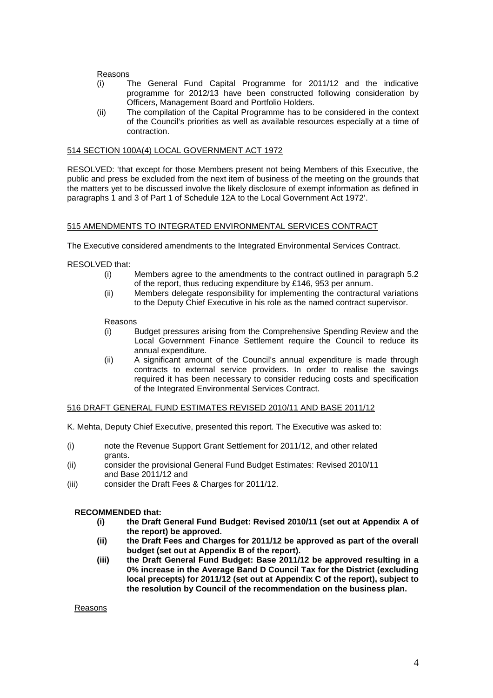### Reasons

- (i) The General Fund Capital Programme for 2011/12 and the indicative programme for 2012/13 have been constructed following consideration by Officers, Management Board and Portfolio Holders.
- (ii) The compilation of the Capital Programme has to be considered in the context of the Council's priorities as well as available resources especially at a time of contraction.

# 514 SECTION 100A(4) LOCAL GOVERNMENT ACT 1972

RESOLVED: 'that except for those Members present not being Members of this Executive, the public and press be excluded from the next item of business of the meeting on the grounds that the matters yet to be discussed involve the likely disclosure of exempt information as defined in paragraphs 1 and 3 of Part 1 of Schedule 12A to the Local Government Act 1972'.

## 515 AMENDMENTS TO INTEGRATED ENVIRONMENTAL SERVICES CONTRACT

The Executive considered amendments to the Integrated Environmental Services Contract.

## RESOLVED that:

- (i) Members agree to the amendments to the contract outlined in paragraph 5.2 of the report, thus reducing expenditure by £146, 953 per annum.
- (ii) Members delegate responsibility for implementing the contractural variations to the Deputy Chief Executive in his role as the named contract supervisor.

## Reasons

- (i) Budget pressures arising from the Comprehensive Spending Review and the Local Government Finance Settlement require the Council to reduce its annual expenditure.
- (ii) A significant amount of the Council's annual expenditure is made through contracts to external service providers. In order to realise the savings required it has been necessary to consider reducing costs and specification of the Integrated Environmental Services Contract.

### 516 DRAFT GENERAL FUND ESTIMATES REVISED 2010/11 AND BASE 2011/12

K. Mehta, Deputy Chief Executive, presented this report. The Executive was asked to:

- (i) note the Revenue Support Grant Settlement for 2011/12, and other related grants.
- (ii) consider the provisional General Fund Budget Estimates: Revised 2010/11 and Base 2011/12 and
- (iii) consider the Draft Fees & Charges for 2011/12.

# **RECOMMENDED that:**

- **(i) the Draft General Fund Budget: Revised 2010/11 (set out at Appendix A of the report) be approved.**
- **(ii) the Draft Fees and Charges for 2011/12 be approved as part of the overall budget (set out at Appendix B of the report).**
- **(iii) the Draft General Fund Budget: Base 2011/12 be approved resulting in a 0% increase in the Average Band D Council Tax for the District (excluding local precepts) for 2011/12 (set out at Appendix C of the report), subject to the resolution by Council of the recommendation on the business plan.**

Reasons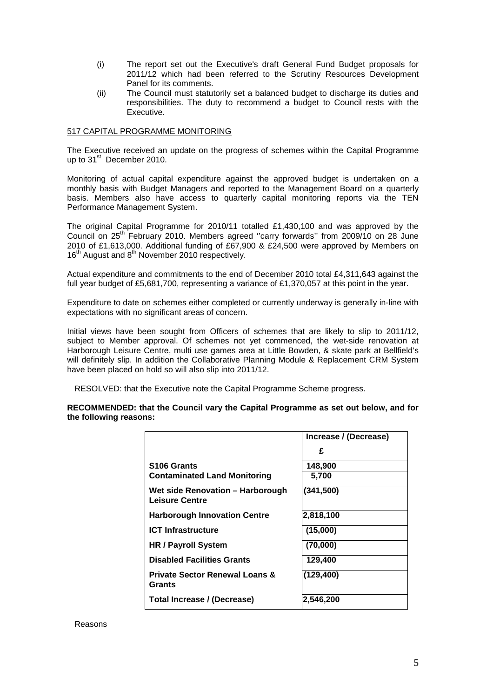- (i) The report set out the Executive's draft General Fund Budget proposals for 2011/12 which had been referred to the Scrutiny Resources Development Panel for its comments.
- (ii) The Council must statutorily set a balanced budget to discharge its duties and responsibilities. The duty to recommend a budget to Council rests with the Executive.

## 517 CAPITAL PROGRAMME MONITORING

The Executive received an update on the progress of schemes within the Capital Programme up to 31<sup>st</sup> December 2010.

Monitoring of actual capital expenditure against the approved budget is undertaken on a monthly basis with Budget Managers and reported to the Management Board on a quarterly basis. Members also have access to quarterly capital monitoring reports via the TEN Performance Management System.

The original Capital Programme for 2010/11 totalled £1,430,100 and was approved by the Council on 25<sup>th</sup> February 2010. Members agreed "carry forwards" from 2009/10 on 28 June 2010 of £1,613,000. Additional funding of £67,900 & £24,500 were approved by Members on 16<sup>th</sup> August and 8<sup>th</sup> November 2010 respectively.

Actual expenditure and commitments to the end of December 2010 total £4,311,643 against the full year budget of £5,681,700, representing a variance of £1,370,057 at this point in the year.

Expenditure to date on schemes either completed or currently underway is generally in-line with expectations with no significant areas of concern.

Initial views have been sought from Officers of schemes that are likely to slip to 2011/12, subject to Member approval. Of schemes not yet commenced, the wet-side renovation at Harborough Leisure Centre, multi use games area at Little Bowden, & skate park at Bellfield's will definitely slip. In addition the Collaborative Planning Module & Replacement CRM System have been placed on hold so will also slip into 2011/12.

RESOLVED: that the Executive note the Capital Programme Scheme progress.

**RECOMMENDED: that the Council vary the Capital Programme as set out below, and for the following reasons:**

|                                                     | Increase / (Decrease) |
|-----------------------------------------------------|-----------------------|
|                                                     | £                     |
| S <sub>106</sub> Grants                             | 148,900               |
| <b>Contaminated Land Monitoring</b>                 | 5,700                 |
| Wet side Renovation – Harborough<br>Leisure Centre  | (341,500)             |
| <b>Harborough Innovation Centre</b>                 | 2,818,100             |
| <b>ICT Infrastructure</b>                           | (15,000)              |
| <b>HR / Payroll System</b>                          | (70,000)              |
| <b>Disabled Facilities Grants</b>                   | 129,400               |
| <b>Private Sector Renewal Loans &amp;</b><br>Grants | (129, 400)            |
| Total Increase / (Decrease)                         | 2,546,200             |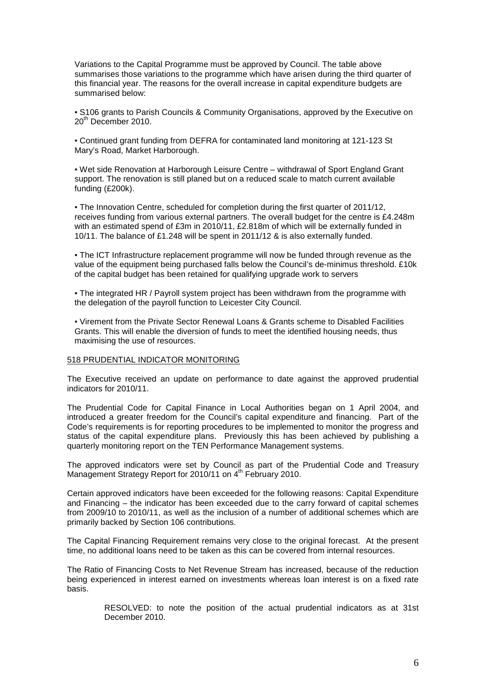Variations to the Capital Programme must be approved by Council. The table above summarises those variations to the programme which have arisen during the third quarter of this financial year. The reasons for the overall increase in capital expenditure budgets are summarised below:

▪ S106 grants to Parish Councils & Community Organisations, approved by the Executive on 20<sup>th</sup> December 2010.

▪ Continued grant funding from DEFRA for contaminated land monitoring at 121-123 St Mary's Road, Market Harborough.

▪ Wet side Renovation at Harborough Leisure Centre – withdrawal of Sport England Grant support. The renovation is still planed but on a reduced scale to match current available funding (£200k).

▪ The Innovation Centre, scheduled for completion during the first quarter of 2011/12, receives funding from various external partners. The overall budget for the centre is £4.248m with an estimated spend of £3m in 2010/11, £2.818m of which will be externally funded in 10/11. The balance of £1.248 will be spent in 2011/12 & is also externally funded.

. The ICT Infrastructure replacement programme will now be funded through revenue as the value of the equipment being purchased falls below the Council's de-minimus threshold. £10k of the capital budget has been retained for qualifying upgrade work to servers

• The integrated HR / Payroll system project has been withdrawn from the programme with the delegation of the payroll function to Leicester City Council.

▪ Virement from the Private Sector Renewal Loans & Grants scheme to Disabled Facilities Grants. This will enable the diversion of funds to meet the identified housing needs, thus maximising the use of resources.

#### 518 PRUDENTIAL INDICATOR MONITORING

The Executive received an update on performance to date against the approved prudential indicators for 2010/11.

The Prudential Code for Capital Finance in Local Authorities began on 1 April 2004, and introduced a greater freedom for the Council's capital expenditure and financing. Part of the Code's requirements is for reporting procedures to be implemented to monitor the progress and status of the capital expenditure plans. Previously this has been achieved by publishing a quarterly monitoring report on the TEN Performance Management systems.

The approved indicators were set by Council as part of the Prudential Code and Treasury Management Strategy Report for 2010/11 on 4<sup>th</sup> February 2010.

Certain approved indicators have been exceeded for the following reasons: Capital Expenditure and Financing – the indicator has been exceeded due to the carry forward of capital schemes from 2009/10 to 2010/11, as well as the inclusion of a number of additional schemes which are primarily backed by Section 106 contributions.

The Capital Financing Requirement remains very close to the original forecast. At the present time, no additional loans need to be taken as this can be covered from internal resources.

The Ratio of Financing Costs to Net Revenue Stream has increased, because of the reduction being experienced in interest earned on investments whereas loan interest is on a fixed rate basis.

> RESOLVED: to note the position of the actual prudential indicators as at 31st December 2010.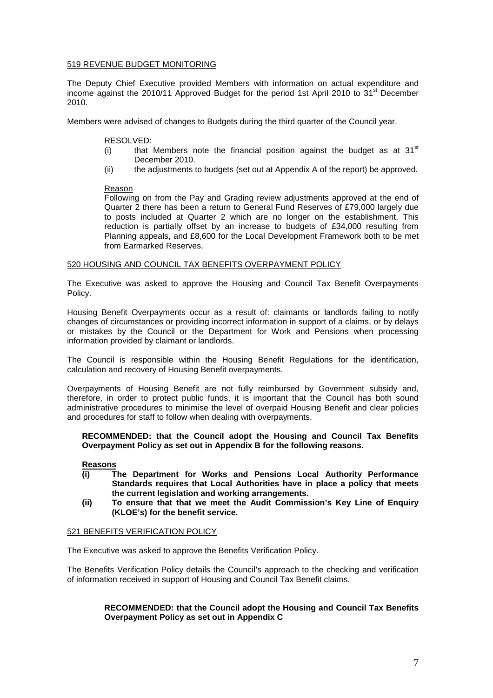# 519 REVENUE BUDGET MONITORING

The Deputy Chief Executive provided Members with information on actual expenditure and income against the 2010/11 Approved Budget for the period 1st April 2010 to 31<sup>st</sup> December 2010.

Members were advised of changes to Budgets during the third quarter of the Council year.

### RESOLVED:

- (i) that Members note the financial position against the budget as at  $31<sup>st</sup>$ December 2010.
- (ii) the adjustments to budgets (set out at Appendix A of the report) be approved.

### Reason

Following on from the Pay and Grading review adjustments approved at the end of Quarter 2 there has been a return to General Fund Reserves of £79,000 largely due to posts included at Quarter 2 which are no longer on the establishment. This reduction is partially offset by an increase to budgets of £34,000 resulting from Planning appeals, and £8,600 for the Local Development Framework both to be met from Earmarked Reserves.

### 520 HOUSING AND COUNCIL TAX BENEFITS OVERPAYMENT POLICY

The Executive was asked to approve the Housing and Council Tax Benefit Overpayments Policy.

Housing Benefit Overpayments occur as a result of: claimants or landlords failing to notify changes of circumstances or providing incorrect information in support of a claims, or by delays or mistakes by the Council or the Department for Work and Pensions when processing information provided by claimant or landlords.

The Council is responsible within the Housing Benefit Regulations for the identification, calculation and recovery of Housing Benefit overpayments.

Overpayments of Housing Benefit are not fully reimbursed by Government subsidy and, therefore, in order to protect public funds, it is important that the Council has both sound administrative procedures to minimise the level of overpaid Housing Benefit and clear policies and procedures for staff to follow when dealing with overpayments.

**RECOMMENDED: that the Council adopt the Housing and Council Tax Benefits Overpayment Policy as set out in Appendix B for the following reasons.** 

### **Reasons**

- **(i) The Department for Works and Pensions Local Authority Performance Standards requires that Local Authorities have in place a policy that meets the current legislation and working arrangements.**
- **(ii) To ensure that that we meet the Audit Commission's Key Line of Enquiry (KLOE's) for the benefit service.**

# 521 BENEFITS VERIFICATION POLICY

The Executive was asked to approve the Benefits Verification Policy.

The Benefits Verification Policy details the Council's approach to the checking and verification of information received in support of Housing and Council Tax Benefit claims.

# **RECOMMENDED: that the Council adopt the Housing and Council Tax Benefits Overpayment Policy as set out in Appendix C**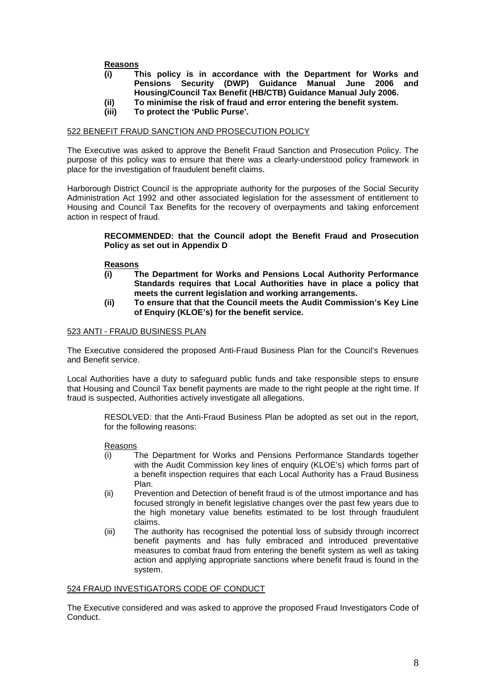# **Reasons**

- **(i) This policy is in accordance with the Department for Works and Pensions Security (DWP) Guidance Manual June 2006 and Housing/Council Tax Benefit (HB/CTB) Guidance Manual July 2006.**
- **(ii) To minimise the risk of fraud and error entering the benefit system.**
- **(iii) To protect the 'Public Purse'.**

### 522 BENEFIT FRAUD SANCTION AND PROSECUTION POLICY

The Executive was asked to approve the Benefit Fraud Sanction and Prosecution Policy. The purpose of this policy was to ensure that there was a clearly-understood policy framework in place for the investigation of fraudulent benefit claims.

Harborough District Council is the appropriate authority for the purposes of the Social Security Administration Act 1992 and other associated legislation for the assessment of entitlement to Housing and Council Tax Benefits for the recovery of overpayments and taking enforcement action in respect of fraud.

## **RECOMMENDED: that the Council adopt the Benefit Fraud and Prosecution Policy as set out in Appendix D**

### **Reasons**

- **(i) The Department for Works and Pensions Local Authority Performance Standards requires that Local Authorities have in place a policy that meets the current legislation and working arrangements.**
- **(ii) To ensure that that the Council meets the Audit Commission's Key Line of Enquiry (KLOE's) for the benefit service.**

## 523 ANTI - FRAUD BUSINESS PLAN

The Executive considered the proposed Anti-Fraud Business Plan for the Council's Revenues and Benefit service.

Local Authorities have a duty to safeguard public funds and take responsible steps to ensure that Housing and Council Tax benefit payments are made to the right people at the right time. If fraud is suspected, Authorities actively investigate all allegations.

> RESOLVED: that the Anti-Fraud Business Plan be adopted as set out in the report, for the following reasons:

### Reasons

- (i) The Department for Works and Pensions Performance Standards together with the Audit Commission key lines of enquiry (KLOE's) which forms part of a benefit inspection requires that each Local Authority has a Fraud Business Plan.
- (ii) Prevention and Detection of benefit fraud is of the utmost importance and has focused strongly in benefit legislative changes over the past few years due to the high monetary value benefits estimated to be lost through fraudulent claims.
- (iii) The authority has recognised the potential loss of subsidy through incorrect benefit payments and has fully embraced and introduced preventative measures to combat fraud from entering the benefit system as well as taking action and applying appropriate sanctions where benefit fraud is found in the system.

### 524 FRAUD INVESTIGATORS CODE OF CONDUCT

The Executive considered and was asked to approve the proposed Fraud Investigators Code of Conduct.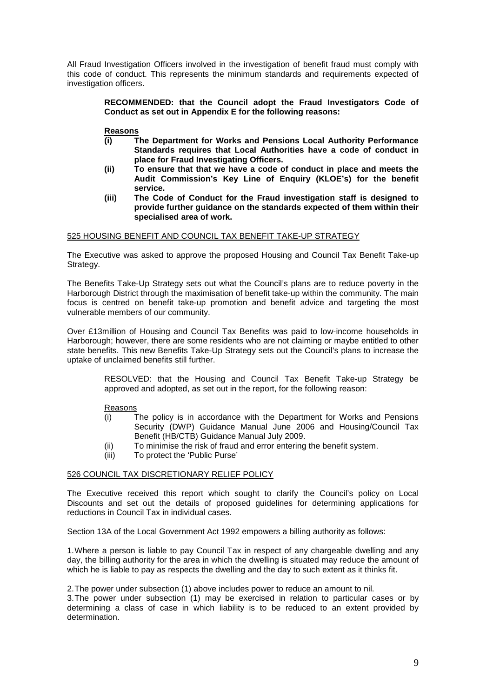All Fraud Investigation Officers involved in the investigation of benefit fraud must comply with this code of conduct. This represents the minimum standards and requirements expected of investigation officers.

> **RECOMMENDED: that the Council adopt the Fraud Investigators Code of Conduct as set out in Appendix E for the following reasons:**

### **Reasons**

- **(i) The Department for Works and Pensions Local Authority Performance Standards requires that Local Authorities have a code of conduct in place for Fraud Investigating Officers.**
- **(ii) To ensure that that we have a code of conduct in place and meets the Audit Commission's Key Line of Enquiry (KLOE's) for the benefit service.**
- **(iii) The Code of Conduct for the Fraud investigation staff is designed to provide further guidance on the standards expected of them within their specialised area of work.**

### 525 HOUSING BENEFIT AND COUNCIL TAX BENEFIT TAKE-UP STRATEGY

The Executive was asked to approve the proposed Housing and Council Tax Benefit Take-up Strategy.

The Benefits Take-Up Strategy sets out what the Council's plans are to reduce poverty in the Harborough District through the maximisation of benefit take-up within the community. The main focus is centred on benefit take-up promotion and benefit advice and targeting the most vulnerable members of our community.

Over £13million of Housing and Council Tax Benefits was paid to low-income households in Harborough; however, there are some residents who are not claiming or maybe entitled to other state benefits. This new Benefits Take-Up Strategy sets out the Council's plans to increase the uptake of unclaimed benefits still further.

> RESOLVED: that the Housing and Council Tax Benefit Take-up Strategy be approved and adopted, as set out in the report, for the following reason:

### Reasons

- (i) The policy is in accordance with the Department for Works and Pensions Security (DWP) Guidance Manual June 2006 and Housing/Council Tax Benefit (HB/CTB) Guidance Manual July 2009.
- (ii) To minimise the risk of fraud and error entering the benefit system.
- (iii) To protect the 'Public Purse'

### 526 COUNCIL TAX DISCRETIONARY RELIEF POLICY

The Executive received this report which sought to clarify the Council's policy on Local Discounts and set out the details of proposed guidelines for determining applications for reductions in Council Tax in individual cases.

Section 13A of the Local Government Act 1992 empowers a billing authority as follows:

1. Where a person is liable to pay Council Tax in respect of any chargeable dwelling and any day, the billing authority for the area in which the dwelling is situated may reduce the amount of which he is liable to pay as respects the dwelling and the day to such extent as it thinks fit.

2. The power under subsection (1) above includes power to reduce an amount to nil.

3. The power under subsection (1) may be exercised in relation to particular cases or by determining a class of case in which liability is to be reduced to an extent provided by determination.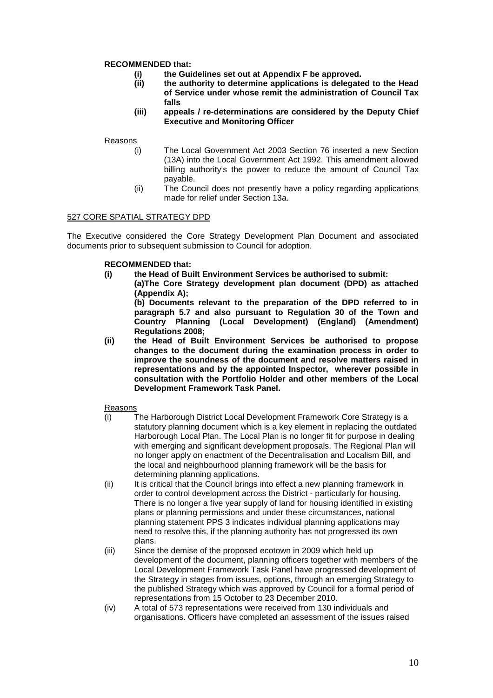# **RECOMMENDED that:**

- **(i) the Guidelines set out at Appendix F be approved.**
- **(ii) the authority to determine applications is delegated to the Head of Service under whose remit the administration of Council Tax falls**
- **(iii) appeals / re-determinations are considered by the Deputy Chief Executive and Monitoring Officer**

# Reasons

- (i) The Local Government Act 2003 Section 76 inserted a new Section (13A) into the Local Government Act 1992. This amendment allowed billing authority's the power to reduce the amount of Council Tax payable.
	- (ii) The Council does not presently have a policy regarding applications made for relief under Section 13a.

# 527 CORE SPATIAL STRATEGY DPD

The Executive considered the Core Strategy Development Plan Document and associated documents prior to subsequent submission to Council for adoption.

## **RECOMMENDED that:**

- **(i) the Head of Built Environment Services be authorised to submit: (a)The Core Strategy development plan document (DPD) as attached (Appendix A); (b) Documents relevant to the preparation of the DPD referred to in paragraph 5.7 and also pursuant to Regulation 30 of the Town and Country Planning (Local Development) (England) (Amendment) Regulations 2008;**
- **(ii) the Head of Built Environment Services be authorised to propose changes to the document during the examination process in order to improve the soundness of the document and resolve matters raised in representations and by the appointed Inspector, wherever possible in consultation with the Portfolio Holder and other members of the Local Development Framework Task Panel.**

### Reasons

- (i) The Harborough District Local Development Framework Core Strategy is a statutory planning document which is a key element in replacing the outdated Harborough Local Plan. The Local Plan is no longer fit for purpose in dealing with emerging and significant development proposals. The Regional Plan will no longer apply on enactment of the Decentralisation and Localism Bill, and the local and neighbourhood planning framework will be the basis for determining planning applications.
- (ii) It is critical that the Council brings into effect a new planning framework in order to control development across the District - particularly for housing. There is no longer a five year supply of land for housing identified in existing plans or planning permissions and under these circumstances, national planning statement PPS 3 indicates individual planning applications may need to resolve this, if the planning authority has not progressed its own plans.
- (iii) Since the demise of the proposed ecotown in 2009 which held up development of the document, planning officers together with members of the Local Development Framework Task Panel have progressed development of the Strategy in stages from issues, options, through an emerging Strategy to the published Strategy which was approved by Council for a formal period of representations from 15 October to 23 December 2010.
- (iv) A total of 573 representations were received from 130 individuals and organisations. Officers have completed an assessment of the issues raised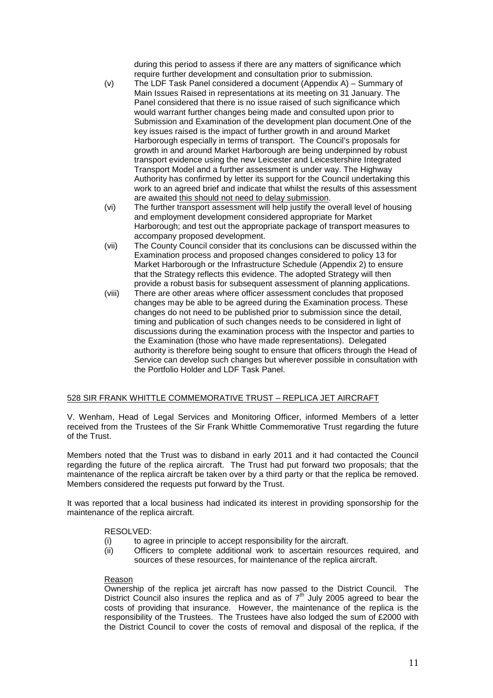during this period to assess if there are any matters of significance which require further development and consultation prior to submission.

- (v) The LDF Task Panel considered a document (Appendix A) Summary of Main Issues Raised in representations at its meeting on 31 January. The Panel considered that there is no issue raised of such significance which would warrant further changes being made and consulted upon prior to Submission and Examination of the development plan document.One of the key issues raised is the impact of further growth in and around Market Harborough especially in terms of transport. The Council's proposals for growth in and around Market Harborough are being underpinned by robust transport evidence using the new Leicester and Leicestershire Integrated Transport Model and a further assessment is under way. The Highway Authority has confirmed by letter its support for the Council undertaking this work to an agreed brief and indicate that whilst the results of this assessment are awaited this should not need to delay submission.
- (vi) The further transport assessment will help justify the overall level of housing and employment development considered appropriate for Market Harborough; and test out the appropriate package of transport measures to accompany proposed development.
- (vii) The County Council consider that its conclusions can be discussed within the Examination process and proposed changes considered to policy 13 for Market Harborough or the Infrastructure Schedule (Appendix 2) to ensure that the Strategy reflects this evidence. The adopted Strategy will then provide a robust basis for subsequent assessment of planning applications.
- (viii) There are other areas where officer assessment concludes that proposed changes may be able to be agreed during the Examination process. These changes do not need to be published prior to submission since the detail, timing and publication of such changes needs to be considered in light of discussions during the examination process with the Inspector and parties to the Examination (those who have made representations). Delegated authority is therefore being sought to ensure that officers through the Head of Service can develop such changes but wherever possible in consultation with the Portfolio Holder and LDF Task Panel.

# 528 SIR FRANK WHITTLE COMMEMORATIVE TRUST – REPLICA JET AIRCRAFT

V. Wenham, Head of Legal Services and Monitoring Officer, informed Members of a letter received from the Trustees of the Sir Frank Whittle Commemorative Trust regarding the future of the Trust.

Members noted that the Trust was to disband in early 2011 and it had contacted the Council regarding the future of the replica aircraft. The Trust had put forward two proposals; that the maintenance of the replica aircraft be taken over by a third party or that the replica be removed. Members considered the requests put forward by the Trust.

It was reported that a local business had indicated its interest in providing sponsorship for the maintenance of the replica aircraft.

### RESOLVED:

- (i) to agree in principle to accept responsibility for the aircraft.
- (ii) Officers to complete additional work to ascertain resources required, and sources of these resources, for maintenance of the replica aircraft.

### Reason

Ownership of the replica jet aircraft has now passed to the District Council. The District Council also insures the replica and as of  $7<sup>th</sup>$  July 2005 agreed to bear the costs of providing that insurance. However, the maintenance of the replica is the responsibility of the Trustees. The Trustees have also lodged the sum of £2000 with the District Council to cover the costs of removal and disposal of the replica, if the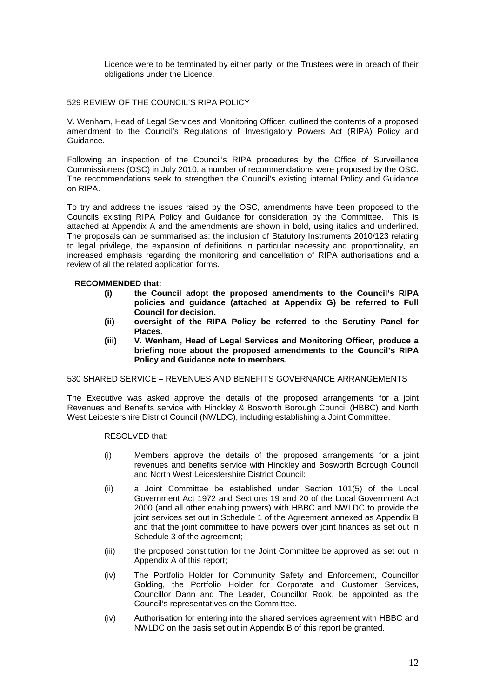Licence were to be terminated by either party, or the Trustees were in breach of their obligations under the Licence.

# 529 REVIEW OF THE COUNCIL'S RIPA POLICY

V. Wenham, Head of Legal Services and Monitoring Officer, outlined the contents of a proposed amendment to the Council's Regulations of Investigatory Powers Act (RIPA) Policy and Guidance.

Following an inspection of the Council's RIPA procedures by the Office of Surveillance Commissioners (OSC) in July 2010, a number of recommendations were proposed by the OSC. The recommendations seek to strengthen the Council's existing internal Policy and Guidance on RIPA.

To try and address the issues raised by the OSC, amendments have been proposed to the Councils existing RIPA Policy and Guidance for consideration by the Committee. This is attached at Appendix A and the amendments are shown in bold, using italics and underlined. The proposals can be summarised as: the inclusion of Statutory Instruments 2010/123 relating to legal privilege, the expansion of definitions in particular necessity and proportionality, an increased emphasis regarding the monitoring and cancellation of RIPA authorisations and a review of all the related application forms.

### **RECOMMENDED that:**

- **(i) the Council adopt the proposed amendments to the Council's RIPA policies and guidance (attached at Appendix G) be referred to Full Council for decision.**
- **(ii) oversight of the RIPA Policy be referred to the Scrutiny Panel for Places.**
- **(iii) V. Wenham, Head of Legal Services and Monitoring Officer, produce a briefing note about the proposed amendments to the Council's RIPA Policy and Guidance note to members.**

### 530 SHARED SERVICE – REVENUES AND BENEFITS GOVERNANCE ARRANGEMENTS

The Executive was asked approve the details of the proposed arrangements for a joint Revenues and Benefits service with Hinckley & Bosworth Borough Council (HBBC) and North West Leicestershire District Council (NWLDC), including establishing a Joint Committee.

### RESOLVED that:

- (i) Members approve the details of the proposed arrangements for a joint revenues and benefits service with Hinckley and Bosworth Borough Council and North West Leicestershire District Council:
- (ii) a Joint Committee be established under Section 101(5) of the Local Government Act 1972 and Sections 19 and 20 of the Local Government Act 2000 (and all other enabling powers) with HBBC and NWLDC to provide the joint services set out in Schedule 1 of the Agreement annexed as Appendix B and that the joint committee to have powers over joint finances as set out in Schedule 3 of the agreement;
- (iii) the proposed constitution for the Joint Committee be approved as set out in Appendix A of this report;
- (iv) The Portfolio Holder for Community Safety and Enforcement, Councillor Golding, the Portfolio Holder for Corporate and Customer Services, Councillor Dann and The Leader, Councillor Rook, be appointed as the Council's representatives on the Committee.
- (iv) Authorisation for entering into the shared services agreement with HBBC and NWLDC on the basis set out in Appendix B of this report be granted.